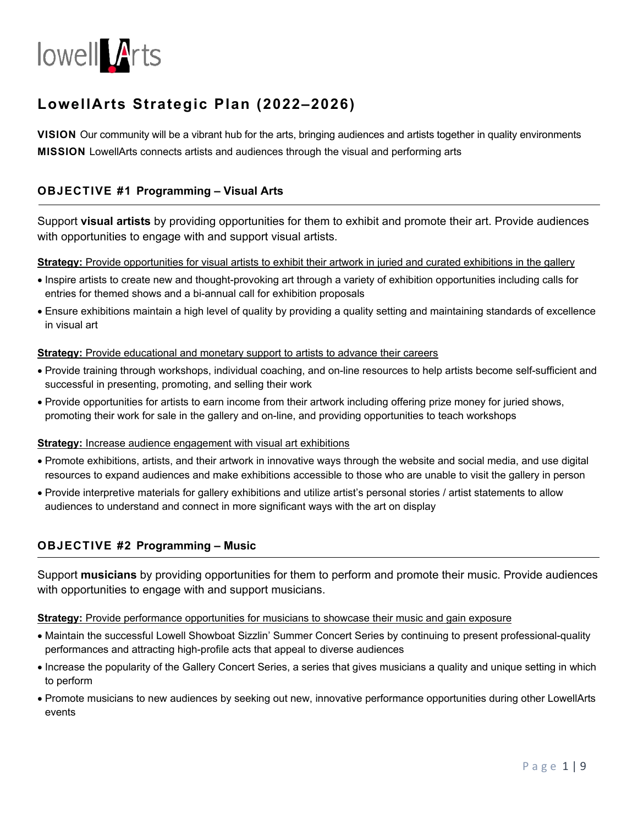

# **LowellArts Strategic Plan (2022–2026)**

**VISION** Our community will be a vibrant hub for the arts, bringing audiences and artists together in quality environments **MISSION** LowellArts connects artists and audiences through the visual and performing arts

# **OBJECTIVE #1 Programming – Visual Arts**

Support **visual artists** by providing opportunities for them to exhibit and promote their art. Provide audiences with opportunities to engage with and support visual artists.

### **Strategy:** Provide opportunities for visual artists to exhibit their artwork in juried and curated exhibitions in the gallery

- Inspire artists to create new and thought-provoking art through a variety of exhibition opportunities including calls for entries for themed shows and a bi-annual call for exhibition proposals
- Ensure exhibitions maintain a high level of quality by providing a quality setting and maintaining standards of excellence in visual art

#### **Strategy:** Provide educational and monetary support to artists to advance their careers

- Provide training through workshops, individual coaching, and on-line resources to help artists become self-sufficient and successful in presenting, promoting, and selling their work
- Provide opportunities for artists to earn income from their artwork including offering prize money for juried shows, promoting their work for sale in the gallery and on-line, and providing opportunities to teach workshops

#### **Strategy:** Increase audience engagement with visual art exhibitions

- Promote exhibitions, artists, and their artwork in innovative ways through the website and social media, and use digital resources to expand audiences and make exhibitions accessible to those who are unable to visit the gallery in person
- Provide interpretive materials for gallery exhibitions and utilize artist's personal stories / artist statements to allow audiences to understand and connect in more significant ways with the art on display

# **OBJECTIVE #2 Programming – Music**

Support **musicians** by providing opportunities for them to perform and promote their music. Provide audiences with opportunities to engage with and support musicians.

#### **Strategy:** Provide performance opportunities for musicians to showcase their music and gain exposure

- Maintain the successful Lowell Showboat Sizzlin' Summer Concert Series by continuing to present professional-quality performances and attracting high-profile acts that appeal to diverse audiences
- Increase the popularity of the Gallery Concert Series, a series that gives musicians a quality and unique setting in which to perform
- Promote musicians to new audiences by seeking out new, innovative performance opportunities during other LowellArts events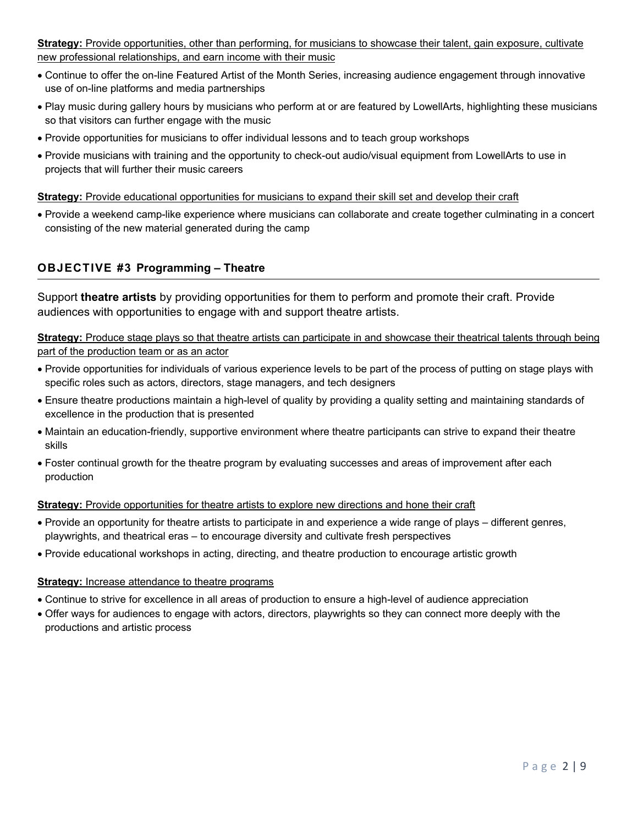# **Strategy:** Provide opportunities, other than performing, for musicians to showcase their talent, gain exposure, cultivate new professional relationships, and earn income with their music

- Continue to offer the on-line Featured Artist of the Month Series, increasing audience engagement through innovative use of on-line platforms and media partnerships
- Play music during gallery hours by musicians who perform at or are featured by LowellArts, highlighting these musicians so that visitors can further engage with the music
- Provide opportunities for musicians to offer individual lessons and to teach group workshops
- Provide musicians with training and the opportunity to check-out audio/visual equipment from LowellArts to use in projects that will further their music careers

### **Strategy:** Provide educational opportunities for musicians to expand their skill set and develop their craft

 Provide a weekend camp-like experience where musicians can collaborate and create together culminating in a concert consisting of the new material generated during the camp

# **OBJECTIVE #3 Programming – Theatre**

Support **theatre artists** by providing opportunities for them to perform and promote their craft. Provide audiences with opportunities to engage with and support theatre artists.

**Strategy:** Produce stage plays so that theatre artists can participate in and showcase their theatrical talents through being part of the production team or as an actor

- Provide opportunities for individuals of various experience levels to be part of the process of putting on stage plays with specific roles such as actors, directors, stage managers, and tech designers
- Ensure theatre productions maintain a high-level of quality by providing a quality setting and maintaining standards of excellence in the production that is presented
- Maintain an education-friendly, supportive environment where theatre participants can strive to expand their theatre skills
- Foster continual growth for the theatre program by evaluating successes and areas of improvement after each production

#### **Strategy:** Provide opportunities for theatre artists to explore new directions and hone their craft

- Provide an opportunity for theatre artists to participate in and experience a wide range of plays different genres, playwrights, and theatrical eras – to encourage diversity and cultivate fresh perspectives
- Provide educational workshops in acting, directing, and theatre production to encourage artistic growth

#### **Strategy:** Increase attendance to theatre programs

- Continue to strive for excellence in all areas of production to ensure a high-level of audience appreciation
- Offer ways for audiences to engage with actors, directors, playwrights so they can connect more deeply with the productions and artistic process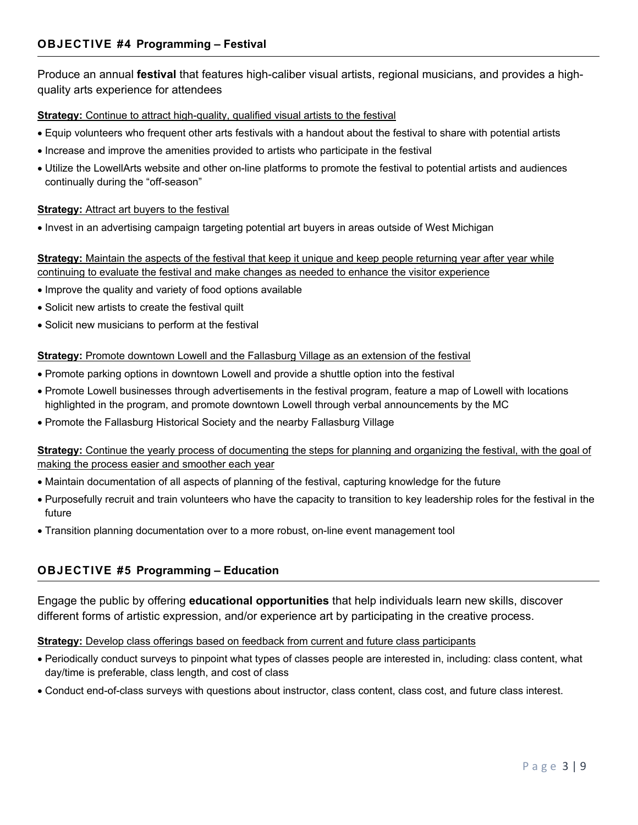Produce an annual **festival** that features high-caliber visual artists, regional musicians, and provides a highquality arts experience for attendees

# **Strategy:** Continue to attract high-quality, qualified visual artists to the festival

- Equip volunteers who frequent other arts festivals with a handout about the festival to share with potential artists
- Increase and improve the amenities provided to artists who participate in the festival
- Utilize the LowellArts website and other on-line platforms to promote the festival to potential artists and audiences continually during the "off-season"

# **Strategy:** Attract art buyers to the festival

• Invest in an advertising campaign targeting potential art buyers in areas outside of West Michigan

# **Strategy:** Maintain the aspects of the festival that keep it unique and keep people returning year after year while continuing to evaluate the festival and make changes as needed to enhance the visitor experience

- Improve the quality and variety of food options available
- Solicit new artists to create the festival quilt
- Solicit new musicians to perform at the festival

### **Strategy:** Promote downtown Lowell and the Fallasburg Village as an extension of the festival

- Promote parking options in downtown Lowell and provide a shuttle option into the festival
- Promote Lowell businesses through advertisements in the festival program, feature a map of Lowell with locations highlighted in the program, and promote downtown Lowell through verbal announcements by the MC
- Promote the Fallasburg Historical Society and the nearby Fallasburg Village

# **Strategy:** Continue the yearly process of documenting the steps for planning and organizing the festival, with the goal of making the process easier and smoother each year

- Maintain documentation of all aspects of planning of the festival, capturing knowledge for the future
- Purposefully recruit and train volunteers who have the capacity to transition to key leadership roles for the festival in the future
- Transition planning documentation over to a more robust, on-line event management tool

# **OBJECTIVE #5 Programming – Education**

Engage the public by offering **educational opportunities** that help individuals learn new skills, discover different forms of artistic expression, and/or experience art by participating in the creative process.

# **Strategy:** Develop class offerings based on feedback from current and future class participants

- Periodically conduct surveys to pinpoint what types of classes people are interested in, including: class content, what day/time is preferable, class length, and cost of class
- Conduct end-of-class surveys with questions about instructor, class content, class cost, and future class interest.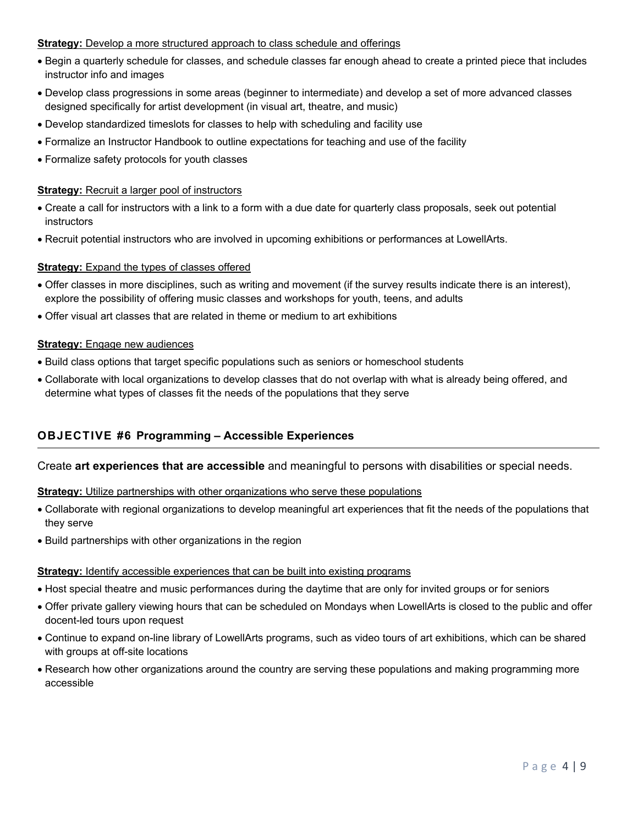### **Strategy:** Develop a more structured approach to class schedule and offerings

- Begin a quarterly schedule for classes, and schedule classes far enough ahead to create a printed piece that includes instructor info and images
- Develop class progressions in some areas (beginner to intermediate) and develop a set of more advanced classes designed specifically for artist development (in visual art, theatre, and music)
- Develop standardized timeslots for classes to help with scheduling and facility use
- Formalize an Instructor Handbook to outline expectations for teaching and use of the facility
- Formalize safety protocols for youth classes

#### **Strategy:** Recruit a larger pool of instructors

- Create a call for instructors with a link to a form with a due date for quarterly class proposals, seek out potential instructors
- Recruit potential instructors who are involved in upcoming exhibitions or performances at LowellArts.

### **Strategy:** Expand the types of classes offered

- Offer classes in more disciplines, such as writing and movement (if the survey results indicate there is an interest), explore the possibility of offering music classes and workshops for youth, teens, and adults
- Offer visual art classes that are related in theme or medium to art exhibitions

#### **Strategy:** Engage new audiences

- Build class options that target specific populations such as seniors or homeschool students
- Collaborate with local organizations to develop classes that do not overlap with what is already being offered, and determine what types of classes fit the needs of the populations that they serve

# **OBJECTIVE #6 Programming – Accessible Experiences**

#### Create **art experiences that are accessible** and meaningful to persons with disabilities or special needs.

#### **Strategy:** Utilize partnerships with other organizations who serve these populations

- Collaborate with regional organizations to develop meaningful art experiences that fit the needs of the populations that they serve
- Build partnerships with other organizations in the region

#### **Strategy:** Identify accessible experiences that can be built into existing programs

- Host special theatre and music performances during the daytime that are only for invited groups or for seniors
- Offer private gallery viewing hours that can be scheduled on Mondays when LowellArts is closed to the public and offer docent-led tours upon request
- Continue to expand on-line library of LowellArts programs, such as video tours of art exhibitions, which can be shared with groups at off-site locations
- Research how other organizations around the country are serving these populations and making programming more accessible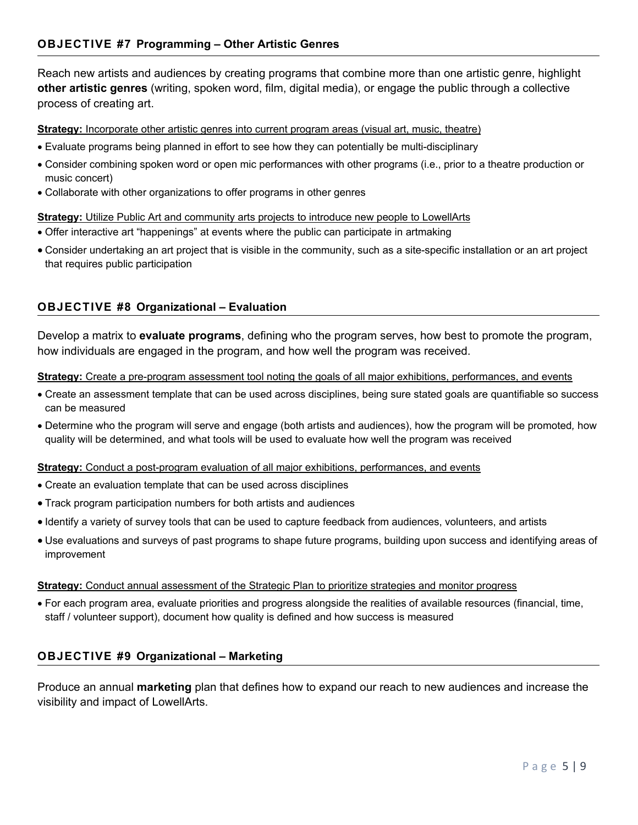Reach new artists and audiences by creating programs that combine more than one artistic genre, highlight **other artistic genres** (writing, spoken word, film, digital media), or engage the public through a collective process of creating art.

# **Strategy:** Incorporate other artistic genres into current program areas (visual art, music, theatre)

- Evaluate programs being planned in effort to see how they can potentially be multi-disciplinary
- Consider combining spoken word or open mic performances with other programs (i.e., prior to a theatre production or music concert)
- Collaborate with other organizations to offer programs in other genres

# **Strategy:** Utilize Public Art and community arts projects to introduce new people to LowellArts

- Offer interactive art "happenings" at events where the public can participate in artmaking
- Consider undertaking an art project that is visible in the community, such as a site-specific installation or an art project that requires public participation

# **OBJECTIVE #8 Organizational – Evaluation**

Develop a matrix to **evaluate programs**, defining who the program serves, how best to promote the program, how individuals are engaged in the program, and how well the program was received.

#### **Strategy:** Create a pre-program assessment tool noting the goals of all major exhibitions, performances, and events

- Create an assessment template that can be used across disciplines, being sure stated goals are quantifiable so success can be measured
- Determine who the program will serve and engage (both artists and audiences), how the program will be promoted*,* how quality will be determined, and what tools will be used to evaluate how well the program was received

#### **Strategy:** Conduct a post-program evaluation of all major exhibitions, performances, and events

- Create an evaluation template that can be used across disciplines
- Track program participation numbers for both artists and audiences
- Identify a variety of survey tools that can be used to capture feedback from audiences, volunteers, and artists
- Use evaluations and surveys of past programs to shape future programs, building upon success and identifying areas of improvement

#### **Strategy:** Conduct annual assessment of the Strategic Plan to prioritize strategies and monitor progress

 For each program area, evaluate priorities and progress alongside the realities of available resources (financial, time, staff / volunteer support), document how quality is defined and how success is measured

# **OBJECTIVE #9 Organizational – Marketing**

Produce an annual **marketing** plan that defines how to expand our reach to new audiences and increase the visibility and impact of LowellArts.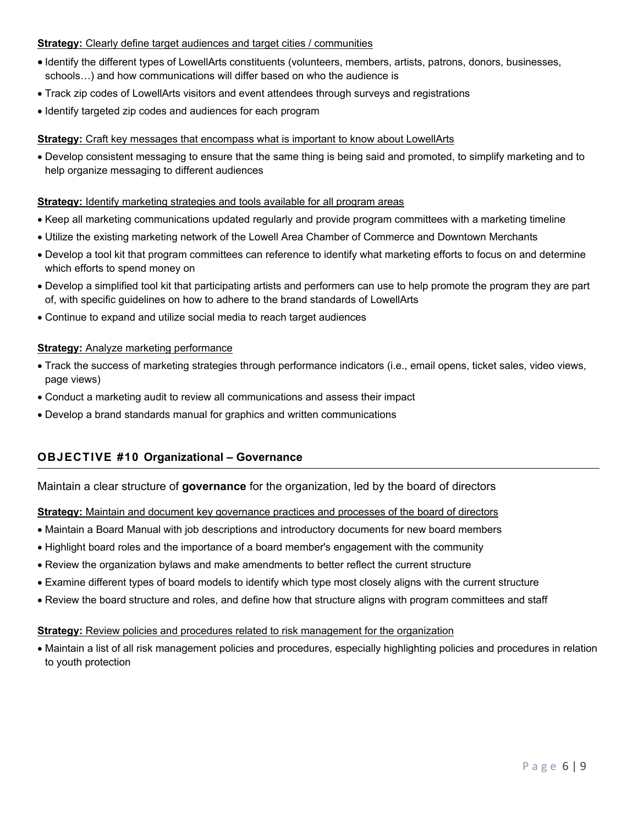### **Strategy:** Clearly define target audiences and target cities / communities

- Identify the different types of LowellArts constituents (volunteers, members, artists, patrons, donors, businesses, schools…) and how communications will differ based on who the audience is
- Track zip codes of LowellArts visitors and event attendees through surveys and registrations
- Identify targeted zip codes and audiences for each program

### **Strategy:** Craft key messages that encompass what is important to know about LowellArts

 Develop consistent messaging to ensure that the same thing is being said and promoted, to simplify marketing and to help organize messaging to different audiences

#### **Strategy:** Identify marketing strategies and tools available for all program areas

- Keep all marketing communications updated regularly and provide program committees with a marketing timeline
- Utilize the existing marketing network of the Lowell Area Chamber of Commerce and Downtown Merchants
- Develop a tool kit that program committees can reference to identify what marketing efforts to focus on and determine which efforts to spend money on
- Develop a simplified tool kit that participating artists and performers can use to help promote the program they are part of, with specific guidelines on how to adhere to the brand standards of LowellArts
- Continue to expand and utilize social media to reach target audiences

#### **Strategy:** Analyze marketing performance

- Track the success of marketing strategies through performance indicators (i.e., email opens, ticket sales, video views, page views)
- Conduct a marketing audit to review all communications and assess their impact
- Develop a brand standards manual for graphics and written communications

# **OBJECTIVE #10 Organizational – Governance**

Maintain a clear structure of **governance** for the organization, led by the board of directors

#### **Strategy:** Maintain and document key governance practices and processes of the board of directors

- Maintain a Board Manual with job descriptions and introductory documents for new board members
- Highlight board roles and the importance of a board member's engagement with the community
- Review the organization bylaws and make amendments to better reflect the current structure
- Examine different types of board models to identify which type most closely aligns with the current structure
- Review the board structure and roles, and define how that structure aligns with program committees and staff

#### **Strategy:** Review policies and procedures related to risk management for the organization

 Maintain a list of all risk management policies and procedures, especially highlighting policies and procedures in relation to youth protection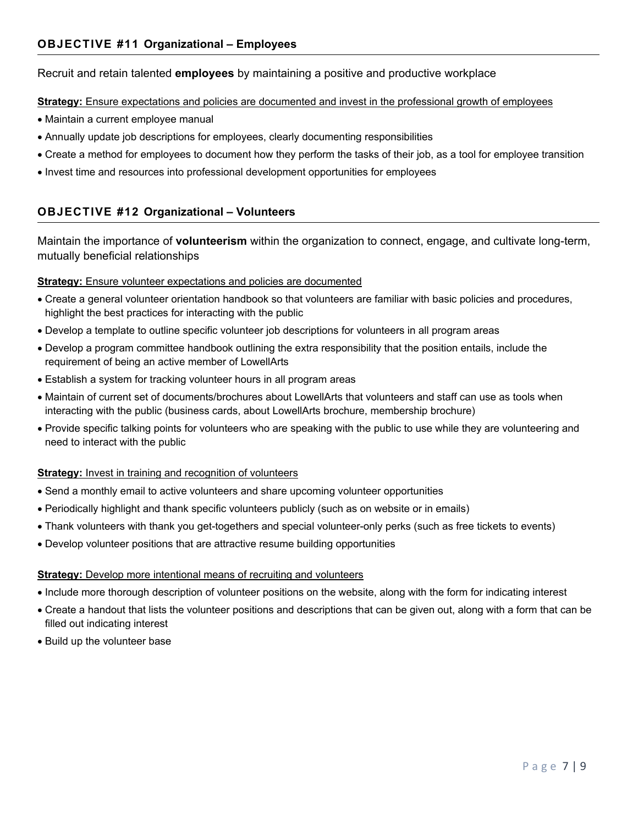# Recruit and retain talented **employees** by maintaining a positive and productive workplace

### **Strategy:** Ensure expectations and policies are documented and invest in the professional growth of employees

- Maintain a current employee manual
- Annually update job descriptions for employees, clearly documenting responsibilities
- Create a method for employees to document how they perform the tasks of their job, as a tool for employee transition
- Invest time and resources into professional development opportunities for employees

# **OBJECTIVE #12 Organizational – Volunteers**

Maintain the importance of **volunteerism** within the organization to connect, engage, and cultivate long-term, mutually beneficial relationships

### **Strategy:** Ensure volunteer expectations and policies are documented

- Create a general volunteer orientation handbook so that volunteers are familiar with basic policies and procedures, highlight the best practices for interacting with the public
- Develop a template to outline specific volunteer job descriptions for volunteers in all program areas
- Develop a program committee handbook outlining the extra responsibility that the position entails, include the requirement of being an active member of LowellArts
- Establish a system for tracking volunteer hours in all program areas
- Maintain of current set of documents/brochures about LowellArts that volunteers and staff can use as tools when interacting with the public (business cards, about LowellArts brochure, membership brochure)
- Provide specific talking points for volunteers who are speaking with the public to use while they are volunteering and need to interact with the public

#### **Strategy:** Invest in training and recognition of volunteers

- Send a monthly email to active volunteers and share upcoming volunteer opportunities
- Periodically highlight and thank specific volunteers publicly (such as on website or in emails)
- Thank volunteers with thank you get-togethers and special volunteer-only perks (such as free tickets to events)
- Develop volunteer positions that are attractive resume building opportunities

#### **Strategy:** Develop more intentional means of recruiting and volunteers

- Include more thorough description of volunteer positions on the website, along with the form for indicating interest
- Create a handout that lists the volunteer positions and descriptions that can be given out, along with a form that can be filled out indicating interest
- Build up the volunteer base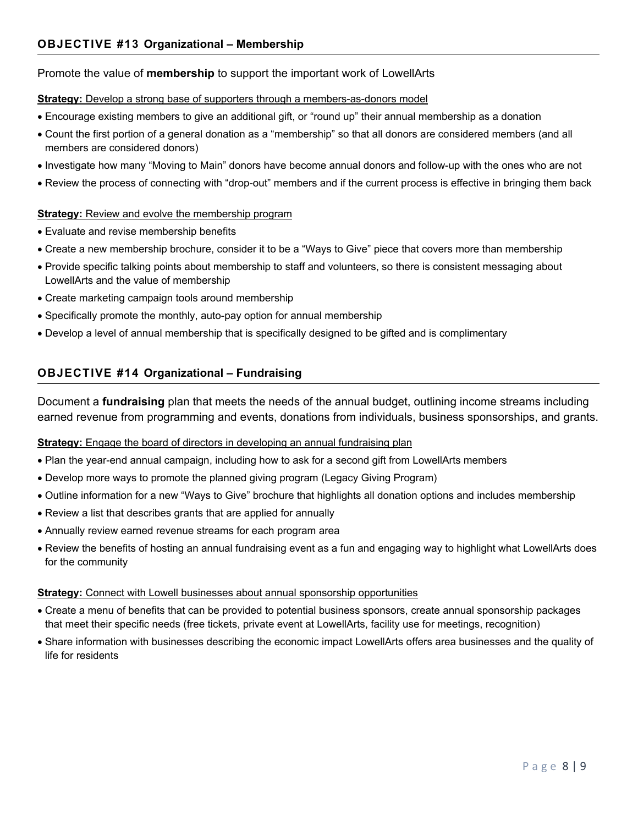# Promote the value of **membership** to support the important work of LowellArts

### **Strategy:** Develop a strong base of supporters through a members-as-donors model

- Encourage existing members to give an additional gift, or "round up" their annual membership as a donation
- Count the first portion of a general donation as a "membership" so that all donors are considered members (and all members are considered donors)
- Investigate how many "Moving to Main" donors have become annual donors and follow-up with the ones who are not
- Review the process of connecting with "drop-out" members and if the current process is effective in bringing them back

# **Strategy:** Review and evolve the membership program

- Evaluate and revise membership benefits
- Create a new membership brochure, consider it to be a "Ways to Give" piece that covers more than membership
- Provide specific talking points about membership to staff and volunteers, so there is consistent messaging about LowellArts and the value of membership
- Create marketing campaign tools around membership
- Specifically promote the monthly, auto-pay option for annual membership
- Develop a level of annual membership that is specifically designed to be gifted and is complimentary

# **OBJECTIVE #14 Organizational – Fundraising**

Document a **fundraising** plan that meets the needs of the annual budget, outlining income streams including earned revenue from programming and events, donations from individuals, business sponsorships, and grants.

# **Strategy:** Engage the board of directors in developing an annual fundraising plan

- Plan the year-end annual campaign, including how to ask for a second gift from LowellArts members
- Develop more ways to promote the planned giving program (Legacy Giving Program)
- Outline information for a new "Ways to Give" brochure that highlights all donation options and includes membership
- Review a list that describes grants that are applied for annually
- Annually review earned revenue streams for each program area
- Review the benefits of hosting an annual fundraising event as a fun and engaging way to highlight what LowellArts does for the community

# **Strategy:** Connect with Lowell businesses about annual sponsorship opportunities

- Create a menu of benefits that can be provided to potential business sponsors, create annual sponsorship packages that meet their specific needs (free tickets, private event at LowellArts, facility use for meetings, recognition)
- Share information with businesses describing the economic impact LowellArts offers area businesses and the quality of life for residents